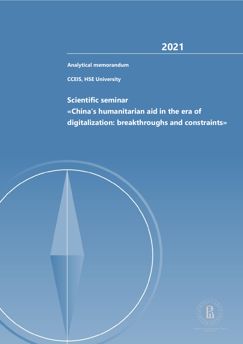# **2021**

**Analytical memorandum**

**CCEIS, HSE University**

# **Scientific seminar «China's humanitarian aid in the era of digitalization: breakthroughs and constraints»**

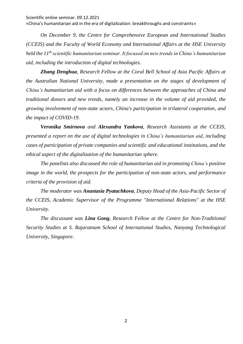«China's humanitarian aid in the era of digitalization: breakthroughs and constraints»

*On December 9, the Centre for Comprehensive European and International Studies (CCEIS) and the Faculty of World Economy and International Affairs at the HSE University held the 11th scientific humanitarian seminar. It focused on new trends in China's humanitarian aid, including the introduction of digital technologies.*

*Zhang Denghua, Research Fellow at the Coral Bell School of Asia Pacific Affairs at the Australian National University, made a presentation on the stages of development of China's humanitarian aid with a focus on differences between the approaches of China and traditional donors and new trends, namely an increase in the volume of aid provided, the growing involvement of non-state actors, China's participation in trilateral cooperation, and the impact of COVID-19.*

*Veronika Smirnova and Alexandra Yankova, Research Assistants at the CCEIS, presented a report on the use of digital technologies in China's humanitarian aid, including cases of participation of private companies and scientific and educational institutions, and the ethical aspect of the digitalization of the humanitarian sphere.*

*The panelists also discussed the role of humanitarian aid in promoting China's positive image in the world, the prospects for the participation of non-state actors, and performance criteria of the provision of aid.*

*The moderator was Anastasia Pyatachkova, Deputy Head of the Asia-Pacific Sector of the CCEIS, Academic Supervisor of the Programme "International Relations" at the HSE University.*

*The discussant was Lina Gong, Research Fellow at the Centre for Non-Traditional Security Studies at S. Rajaratnam School of International Studies, Nanyang Technological University, Singapore.*

2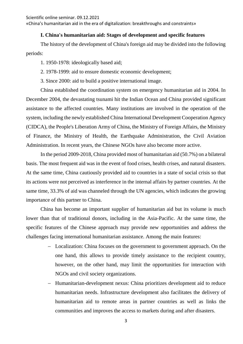«China's humanitarian aid in the era of digitalization: breakthroughs and constraints»

## **I. China's humanitarian aid: Stages of development and specific features**

The history of the development of China's foreign aid may be divided into the following periods:

1. 1950-1978: ideologically based aid;

2. 1978-1999: aid to ensure domestic economic development;

3. Since 2000: aid to build a positive international image.

China established the coordination system on emergency humanitarian aid in 2004. In December 2004, the devastating tsunami hit the Indian Ocean and China provided significant assistance to the affected countries. Many institutions are involved in the operation of the system, including the newly established China International Development Cooperation Agency (CIDCA), the People's Liberation Army of China, the Ministry of Foreign Affairs, the Ministry of Finance, the Ministry of Health, the Earthquake Administration, the Civil Aviation Administration. In recent years, the Chinese NGOs have also become more active.

In the period 2009-2018, China provided most of humanitarian aid (50.7%) on a bilateral basis. The most frequent aid was in the event of food crises, health crises, and natural disasters. At the same time, China cautiously provided aid to countries in a state of social crisis so that its actions were not perceived as interference in the internal affairs by partner countries. At the same time, 33.3% of aid was channeled through the UN agencies, which indicates the growing importance of this partner to China.

China has become an important supplier of humanitarian aid but its volume is much lower than that of traditional donors, including in the Asia-Pacific. At the same time, the specific features of the Chinese approach may provide new opportunities and address the challenges facing international humanitarian assistance. Among the main features:

- − Localization: China focuses on the government to government approach. On the one hand, this allows to provide timely assistance to the recipient country, however, on the other hand, may limit the opportunities for interaction with NGOs and civil society organizations.
- − Humanitarian-development nexus: China prioritizes development aid to reduce humanitarian needs. Infrastructure development also facilitates the delivery of humanitarian aid to remote areas in partner countries as well as links the communities and improves the access to markets during and after disasters.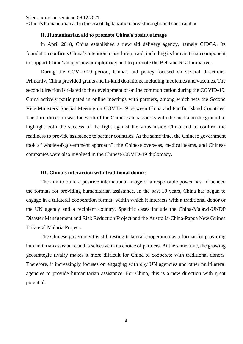«China's humanitarian aid in the era of digitalization: breakthroughs and constraints»

### **II. Humanitarian aid to promote China's positive image**

In April 2018, China established a new aid delivery agency, namely CIDCA. Its foundation confirms China's intention to use foreign aid, including its humanitarian component, to support China's major power diplomacy and to promote the Belt and Road initiative.

During the COVID-19 period, China's aid policy focused on several directions. Primarily, China provided grants and in-kind donations, including medicines and vaccines. The second direction is related to the development of online communication during the COVID-19. China actively participated in online meetings with partners, among which was the Second Vice Ministers' Special Meeting on COVID-19 between China and Pacific Island Countries. The third direction was the work of the Chinese ambassadors with the media on the ground to highlight both the success of the fight against the virus inside China and to confirm the readiness to provide assistance to partner countries. At the same time, the Chinese government took a "whole-of-government approach": the Chinese overseas, medical teams, and Chinese companies were also involved in the Chinese COVID-19 diplomacy.

#### **III. China's interaction with traditional donors**

The aim to build a positive international image of a responsible power has influenced the formats for providing humanitarian assistance. In the past 10 years, China has begun to engage in a trilateral cooperation format, within which it interacts with a traditional donor or the UN agency and a recipient country. Specific cases include the China-Malawi-UNDP Disaster Management and Risk Reduction Project and the Australia-China-Papua New Guinea Trilateral Malaria Project.

The Chinese government is still testing trilateral cooperation as a format for providing humanitarian assistance and is selective in its choice of partners. At the same time, the growing geostrategic rivalry makes it more difficult for China to cooperate with traditional donors. Therefore, it increasingly focuses on engaging with еру UN agencies and other multilateral agencies to provide humanitarian assistance. For China, this is a new direction with great potential.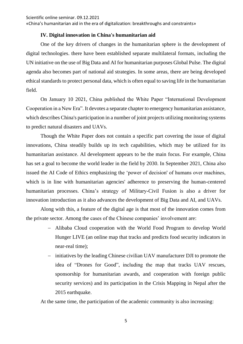«China's humanitarian aid in the era of digitalization: breakthroughs and constraints»

#### **IV. Digital innovation in China's humanitarian aid**

One of the key drivers of changes in the humanitarian sphere is the development of digital technologies. there have been established separate multilateral formats, including the UN initiative on the use of Big Data and AI for humanitarian purposes Global Pulse. The digital agenda also becomes part of national aid strategies. In some areas, there are being developed ethical standards to protect personal data, which is often equal to saving life in the humanitarian field.

On January 10 2021, China published the White Paper "International Development Cooperation in a New Era". It devotes a separate chapter to emergency humanitarian assistance, which describes China's participation in a number of joint projects utilizing monitoring systems to predict natural disasters and UAVs.

Though the White Paper does not contain a specific part covering the issue of digital innovations, China steadily builds up its tech capabilities, which may be utilized for its humanitarian assistance. AI development appears to be the main focus. For example, China has set a goal to become the world leader in the field by 2030. In September 2021, China also issued the AI Code of Ethics emphasizing the 'power of decision' of humans over machines, which is in line with humanitarian agencies' adherence to preserving the human-centered humanitarian processes. China's strategy of Military-Civil Fusion is also a driver for innovation introduction as it also advances the development of Big Data and AI, and UAVs.

Along with this, a feature of the digital age is that most of the innovation comes from the private sector. Among the cases of the Chinese companies' involvement are:

- − Alibaba Cloud cooperation with the World Food Program to develop World Hunger LIVE (an online map that tracks and predicts food security indicators in near-real time);
- initiatives by the leading Chinese civilian UAV manufacturer DJI to promote the idea of "Drones for Good", including the map that tracks UAV rescues, sponsorship for humanitarian awards, and cooperation with foreign public security services) and its participation in the Crisis Mapping in Nepal after the 2015 earthquake.

At the same time, the participation of the academic community is also increasing: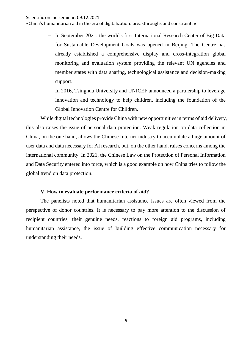«China's humanitarian aid in the era of digitalization: breakthroughs and constraints»

- In September 2021, the world's first International Research Center of Big Data for Sustainable Development Goals was opened in Beijing. The Centre has already established a comprehensive display and cross-integration global monitoring and evaluation system providing the relevant UN agencies and member states with data sharing, technological assistance and decision-making support.
- − In 2016, Tsinghua University and UNICEF announced a partnership to leverage innovation and technology to help children, including the foundation of the Global Innovation Centre for Children.

While digital technologies provide China with new opportunities in terms of aid delivery, this also raises the issue of personal data protection. Weak regulation on data collection in China, on the one hand, allows the Chinese Internet industry to accumulate a huge amount of user data and data necessary for AI research, but, on the other hand, raises concerns among the international community. In 2021, the Chinese Law on the Protection of Personal Information and Data Security entered into force, which is a good example on how China tries to follow the global trend on data protection.

#### **V. How to evaluate performance criteria of aid?**

The panelists noted that humanitarian assistance issues are often viewed from the perspective of donor countries. It is necessary to pay more attention to the discussion of recipient countries, their genuine needs, reactions to foreign aid programs, including humanitarian assistance, the issue of building effective communication necessary for understanding their needs.